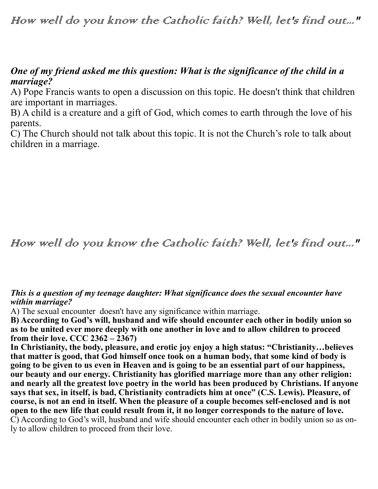## How well do you know the Catholic faith? Well, let's find out..."

### *One of my friend asked me this question: What is the significance of the child in a marriage?*

A) Pope Francis wants to open a discussion on this topic. He doesn't think that children are important in marriages.

B) A child is a creature and a gift of God, which comes to earth through the love of his parents.

C) The Church should not talk about this topic. It is not the Church's role to talk about children in a marriage.

# How well do you know the Catholic faith? Well, let's find out..."

#### *This is a question of my teenage daughter: What significance does the sexual encounter have within marriage?*

A) The sexual encounter doesn't have any significance within marriage.

**B) According to God's will, husband and wife should encounter each other in bodily union so as to be united ever more deeply with one another in love and to allow children to proceed from their love. CCC 2362 – 2367)**

**In Christianity, the body, pleasure, and erotic joy enjoy a high status: "Christianity…believes that matter is good, that God himself once took on a human body, that some kind of body is going to be given to us even in Heaven and is going to be an essential part of our happiness, our beauty and our energy. Christianity has glorified marriage more than any other religion: and nearly all the greatest love poetry in the world has been produced by Christians. If anyone says that sex, in itself, is bad, Christianity contradicts him at once" (C.S. Lewis). Pleasure, of course, is not an end in itself. When the pleasure of a couple becomes self-enclosed and is not open to the new life that could result from it, it no longer corresponds to the nature of love.**  C) According to God's will, husband and wife should encounter each other in bodily union so as only to allow children to proceed from their love.